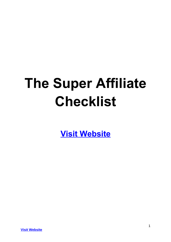# **The Super Affiliate Checklist**

**[Visit Website](http://replug.link/f7ab3460/)**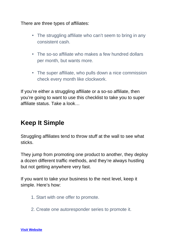There are three types of affiliates:

- The struggling affiliate who can't seem to bring in any consistent cash.
- The so-so affiliate who makes a few hundred dollars per month, but wants more.
- The super affiliate, who pulls down a nice commission check every month like clockwork.

If you're either a struggling affiliate or a so-so affiliate, then you're going to want to use this checklist to take you to super affiliate status. Take a look…

## **Keep It Simple**

Struggling affiliates tend to throw stuff at the wall to see what sticks.

They jump from promoting one product to another, they deploy a dozen different traffic methods, and they're always hustling but not getting anywhere very fast.

If you want to take your business to the next level, keep it simple. Here's how:

- 1. Start with one offer to promote.
- 2. Create one autoresponder series to promote it.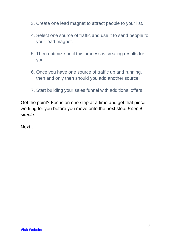- 3. Create one lead magnet to attract people to your list.
- 4. Select one source of traffic and use it to send people to your lead magnet.
- 5. Then optimize until this process is creating results for you.
- 6. Once you have one source of traffic up and running, then and only then should you add another source.
- 7. Start building your sales funnel with additional offers.

Get the point? Focus on one step at a time and get that piece working for you before you move onto the next step. *Keep it simple.*

Next…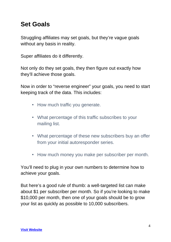## **Set Goals**

Struggling affiliates may set goals, but they're vague goals without any basis in reality.

Super affiliates do it differently.

Not only do they set goals, they then figure out exactly how they'll achieve those goals.

Now in order to "reverse engineer" your goals, you need to start keeping track of the data. This includes:

- How much traffic you generate.
- What percentage of this traffic subscribes to your mailing list.
- What percentage of these new subscribers buy an offer from your initial autoresponder series.
- How much money you make per subscriber per month.

You'll need to plug in your own numbers to determine how to achieve your goals.

But here's a good rule of thumb: a well-targeted list can make about \$1 per subscriber per month. So if you're looking to make \$10,000 per month, then one of your goals should be to grow your list as quickly as possible to 10,000 subscribers.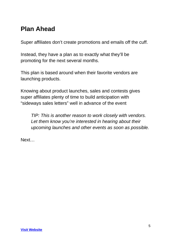## **Plan Ahead**

Super affiliates don't create promotions and emails off the cuff.

Instead, they have a plan as to exactly what they'll be promoting for the next several months.

This plan is based around when their favorite vendors are launching products.

Knowing about product launches, sales and contests gives super affiliates plenty of time to build anticipation with "sideways sales letters" well in advance of the event

*TIP: This is another reason to work closely with vendors. Let them know you're interested in hearing about their upcoming launches and other events as soon as possible.*

Next…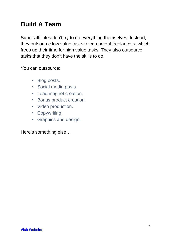## **Build A Team**

Super affiliates don't try to do everything themselves. Instead, they outsource low value tasks to competent freelancers, which frees up their time for high value tasks. They also outsource tasks that they don't have the skills to do.

You can outsource:

- Blog posts.
- Social media posts.
- Lead magnet creation.
- Bonus product creation.
- Video production.
- Copywriting.
- Graphics and design.

Here's something else…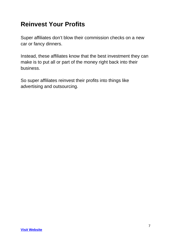## **Reinvest Your Profits**

Super affiliates don't blow their commission checks on a new car or fancy dinners.

Instead, these affiliates know that the best investment they can make is to put all or part of the money right back into their business.

So super affiliates reinvest their profits into things like advertising and outsourcing.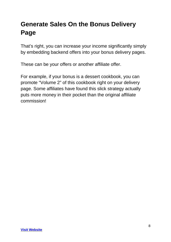## **Generate Sales On the Bonus Delivery Page**

That's right, you can increase your income significantly simply by embedding backend offers into your bonus delivery pages.

These can be your offers or another affiliate offer.

For example, if your bonus is a dessert cookbook, you can promote "Volume 2" of this cookbook right on your delivery page. Some affiliates have found this slick strategy actually puts more money in their pocket than the original affiliate commission!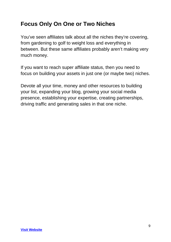#### **Focus Only On One or Two Niches**

You've seen affiliates talk about all the niches they're covering, from gardening to golf to weight loss and everything in between. But these same affiliates probably aren't making very much money.

If you want to reach super affiliate status, then you need to focus on building your assets in just one (or maybe two) niches.

Devote all your time, money and other resources to building your list, expanding your blog, growing your social media presence, establishing your expertise, creating partnerships, driving traffic and generating sales in that one niche.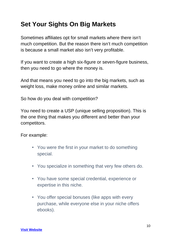## **Set Your Sights On Big Markets**

Sometimes affiliates opt for small markets where there isn't much competition. But the reason there isn't much competition is because a small market also isn't very profitable.

If you want to create a high six-figure or seven-figure business, then you need to go where the money is.

And that means you need to go into the big markets, such as weight loss, make money online and similar markets.

So how do you deal with competition?

You need to create a USP (unique selling proposition). This is the one thing that makes you different and better than your competitors.

For example:

- You were the first in your market to do something special.
- You specialize in something that very few others do.
- You have some special credential, experience or expertise in this niche.
- You offer special bonuses (like apps with every purchase, while everyone else in your niche offers ebooks).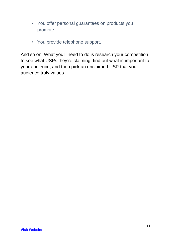- You offer personal guarantees on products you promote.
- You provide telephone support.

And so on. What you'll need to do is research your competition to see what USPs they're claiming, find out what is important to your audience, and then pick an unclaimed USP that your audience truly values.